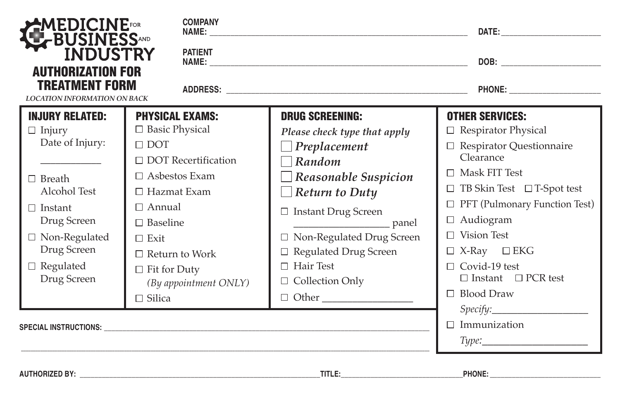| MEDICINE<br>≮BUSINESS<br>■ INDUSTRY                                                                                                                                                           | <b>COMPANY</b>                                                                                                                                                                                                   |                                                                                                                                                                                                                                                                    | DATE: the contract of the contract of the contract of the contract of the contract of the contract of the contract of the contract of the contract of the contract of the contract of the contract of the contract of the cont                                                      |
|-----------------------------------------------------------------------------------------------------------------------------------------------------------------------------------------------|------------------------------------------------------------------------------------------------------------------------------------------------------------------------------------------------------------------|--------------------------------------------------------------------------------------------------------------------------------------------------------------------------------------------------------------------------------------------------------------------|-------------------------------------------------------------------------------------------------------------------------------------------------------------------------------------------------------------------------------------------------------------------------------------|
| <b>AUTHORIZATION FOR</b>                                                                                                                                                                      | <b>PATIENT</b>                                                                                                                                                                                                   |                                                                                                                                                                                                                                                                    |                                                                                                                                                                                                                                                                                     |
| TREATMENT FORM<br><b>LOCATION INFORMATION ON BACK</b>                                                                                                                                         |                                                                                                                                                                                                                  |                                                                                                                                                                                                                                                                    |                                                                                                                                                                                                                                                                                     |
| <b>INJURY RELATED:</b><br>$\Box$ Injury<br>Date of Injury:<br>$\Box$ Breath<br>Alcohol Test<br>$\Box$ Instant<br>Drug Screen<br>$\hfill\Box$ Non-Regulated<br>Drug Screen<br>$\Box$ Regulated | <b>PHYSICAL EXAMS:</b><br>□ Basic Physical<br>$\Box$ DOT<br>$\Box$ DOT Recertification<br>$\Box$ Asbestos Exam<br>$\Box$ Hazmat Exam<br>$\Box$ Annual<br>$\Box$ Baseline<br>$\Box$ Exit<br>$\Box$ Return to Work | <b>DRUG SCREENING:</b><br>Please check type that apply<br>$\Box$ Preplacement<br>$\neg$ Random<br>$\Box$ Reasonable Suspicion<br>$\Box$ Return to Duty<br>□ Instant Drug Screen<br>□ Non-Regulated Drug Screen<br>$\Box$ Regulated Drug Screen<br>$\Box$ Hair Test | <b>OTHER SERVICES:</b><br>$\Box$ Respirator Physical<br>$\Box$ Respirator Questionnaire<br>Clearance<br>$\Box$ Mask FIT Test<br>$\Box$ TB Skin Test $\Box$ T-Spot test<br>$\Box$ PFT (Pulmonary Function Test)<br>$\Box$ Audiogram<br>$\Box$ Vision Test<br>$\Box$ X-Ray $\Box$ EKG |
| Drug Screen                                                                                                                                                                                   | $\Box$ Fit for Duty<br>(By appointment ONLY)<br>$\Box$ Silica                                                                                                                                                    | $\Box$ Collection Only                                                                                                                                                                                                                                             | $\Box$ Covid-19 test<br>$\Box$ Instant $\Box$ PCR test<br>$\Box$ Blood Draw<br>Specify:<br>$\Box$ Immunization<br>$Type: \_\_\_\_\_\_\_\_\_\_\_\_\_\_\_\_\_\_$                                                                                                                      |